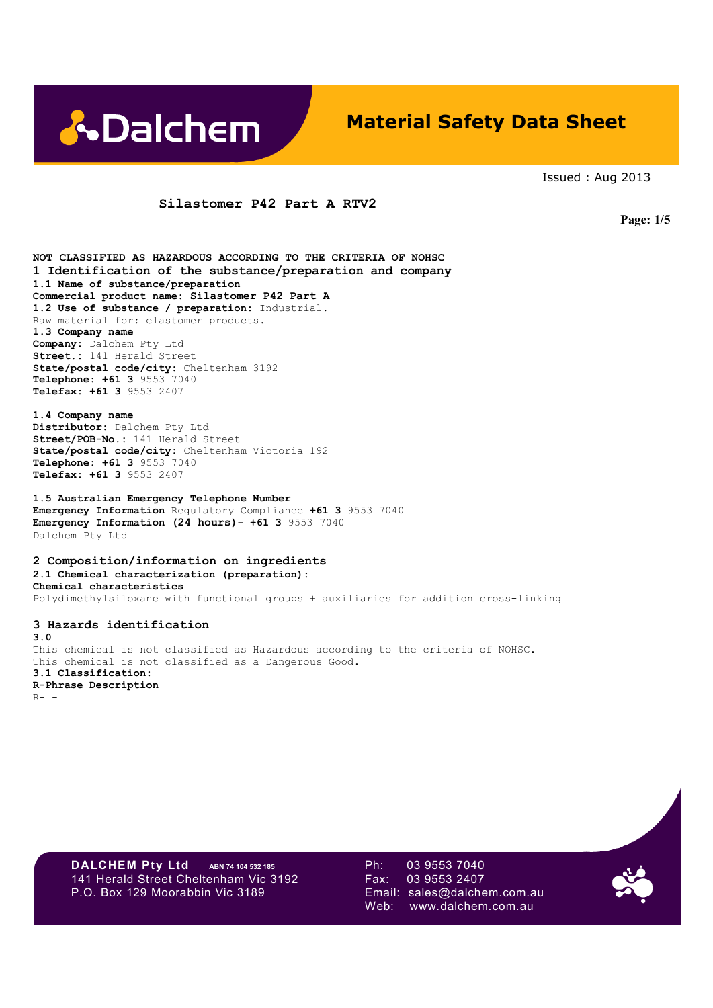

# **Material Safety Data Sheet**

Issued : Aug 2013

### **Silastomer P42 Part A RTV2**

 **Page: 1/5**

**NOT CLASSIFIED AS HAZARDOUS ACCORDING TO THE CRITERIA OF NOHSC 1 Identification of the substance/preparation and company 1.1 Name of substance/preparation Commercial product name: Silastomer P42 Part A 1.2 Use of substance / preparation:** Industrial. Raw material for: elastomer products. **1.3 Company name Company:** Dalchem Pty Ltd **Street.:** 141 Herald Street **State/postal code/city:** Cheltenham 3192 **Telephone: +61 3** 9553 7040 **Telefax: +61 3** 9553 2407

**1.4 Company name Distributor:** Dalchem Pty Ltd **Street/POB-No.:** 141 Herald Street **State/postal code/city:** Cheltenham Victoria 192 **Telephone: +61 3** 9553 7040 **Telefax: +61 3** 9553 2407

**1.5 Australian Emergency Telephone Number Emergency Information** Regulatory Compliance **+61 3** 9553 7040 **Emergency Information (24 hours)**– **+61 3** 9553 7040 Dalchem Pty Ltd

**2 Composition/information on ingredients 2.1 Chemical characterization (preparation): Chemical characteristics**  Polydimethylsiloxane with functional groups + auxiliaries for addition cross-linking

**3 Hazards identification 3.0**  This chemical is not classified as Hazardous according to the criteria of NOHSC. This chemical is not classified as a Dangerous Good. **3.1 Classification: R-Phrase Description**   $R-$  -

**DALCHEM Pty Ltd** ABN 74 104 532 185 Ph: 03 9553 7040<br>141 Herald Street Cheltenham Vic 3192 Fax: 03 9553 2407 141 Herald Street Cheltenham Vic 3192 Fax: P.O. Box 129 Moorabbin Vic 3189 Email: sales@dalchem.com.au

Web: www.dalchem.com.au

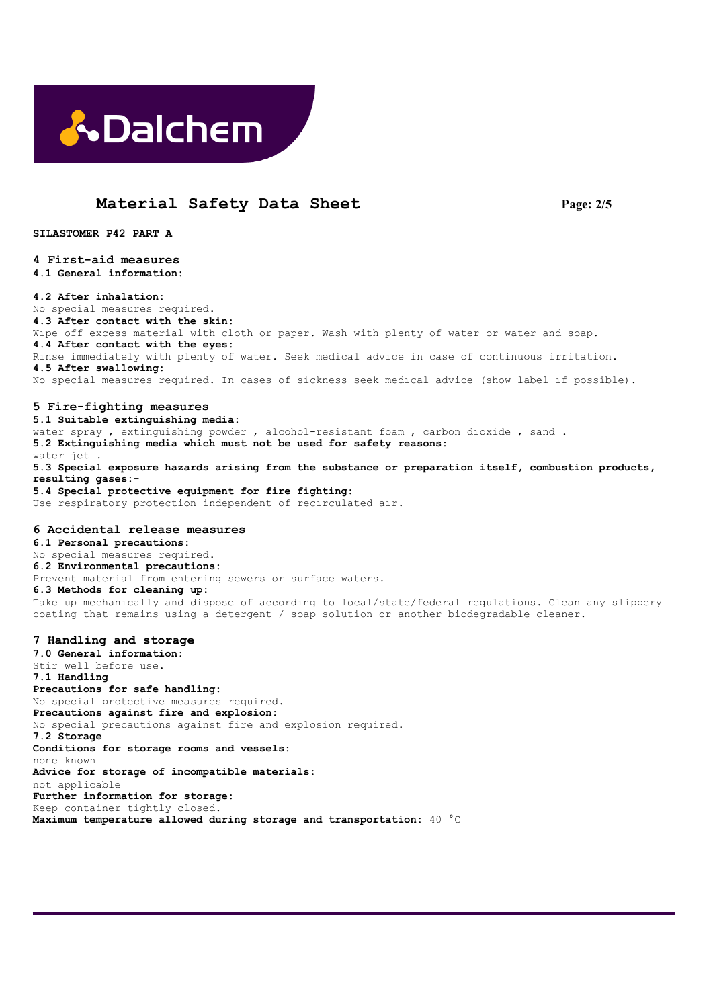

# **Material Safety Data Sheet Page: 2/5**

**SILASTOMER P42 PART A** 

# **4 First-aid measures**

**4.1 General information:** 

#### **4.2 After inhalation:**

No special measures required. **4.3 After contact with the skin:**  Wipe off excess material with cloth or paper. Wash with plenty of water or water and soap. **4.4 After contact with the eyes:**  Rinse immediately with plenty of water. Seek medical advice in case of continuous irritation. **4.5 After swallowing:**  No special measures required. In cases of sickness seek medical advice (show label if possible).

#### **5 Fire-fighting measures**

**5.1 Suitable extinguishing media:**  water spray , extinguishing powder , alcohol-resistant foam , carbon dioxide , sand . **5.2 Extinguishing media which must not be used for safety reasons:**  water jet **5.3 Special exposure hazards arising from the substance or preparation itself, combustion products, resulting gases:**- **5.4 Special protective equipment for fire fighting:** Use respiratory protection independent of recirculated air.

#### **6 Accidental release measures**

**6.1 Personal precautions:**  No special measures required. **6.2 Environmental precautions:**  Prevent material from entering sewers or surface waters. **6.3 Methods for cleaning up:**  Take up mechanically and dispose of according to local/state/federal regulations. Clean any slippery coating that remains using a detergent / soap solution or another biodegradable cleaner.

#### **7 Handling and storage**

**7.0 General information:**  Stir well before use. **7.1 Handling Precautions for safe handling:**  No special protective measures required. **Precautions against fire and explosion:**  No special precautions against fire and explosion required. **7.2 Storage Conditions for storage rooms and vessels:**  none known **Advice for storage of incompatible materials:**  not applicable **Further information for storage:**  Keep container tightly closed. **Maximum temperature allowed during storage and transportation:** 40 °C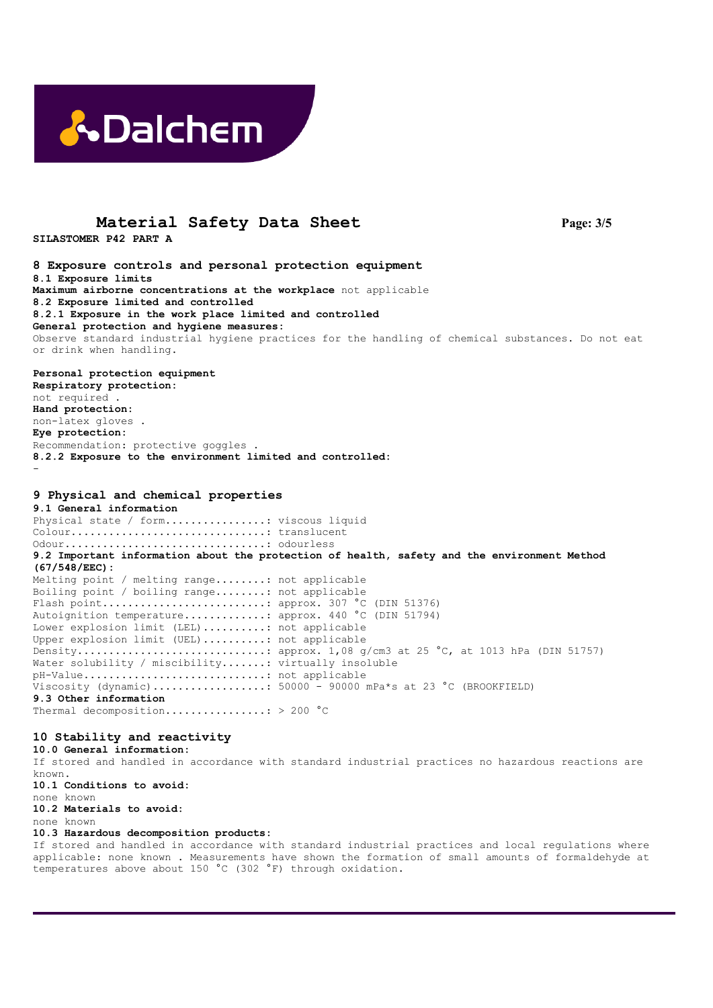

### **Material Safety Data Sheet Page: 3/5**

**SILASTOMER P42 PART A** 

**8 Exposure controls and personal protection equipment 8.1 Exposure limits Maximum airborne concentrations at the workplace** not applicable **8.2 Exposure limited and controlled 8.2.1 Exposure in the work place limited and controlled General protection and hygiene measures:**  Observe standard industrial hygiene practices for the handling of chemical substances. Do not eat or drink when handling.

**Personal protection equipment Respiratory protection:**  not required . **Hand protection:**  non-latex gloves . **Eye protection:**  Recommendation: protective goggles . **8.2.2 Exposure to the environment limited and controlled:**  -

### **9 Physical and chemical properties**

**9.1 General information**  Physical state / form..................: viscous liquid Colour...............................: translucent Odour................................: odourless **9.2 Important information about the protection of health, safety and the environment Method (67/548/EEC):**  Melting point / melting range........: not applicable Boiling point / boiling range........: not applicable Flash point..........................: approx. 307 °C (DIN 51376) Autoignition temperature.............: approx. 440 °C (DIN 51794) Lower explosion limit (LEL)..........: not applicable Upper explosion limit (UEL)..........: not applicable Density..............................: approx. 1,08 g/cm3 at 25 °C, at 1013 hPa (DIN 51757) Water solubility / miscibility.......: virtually insoluble pH-Value.............................: not applicable Viscosity (dynamic).................:  $50000 - 90000$  mPa\*s at 23 °C (BROOKFIELD) **9.3 Other information** 

Thermal decomposition................: > 200 °C

### **10 Stability and reactivity**

**10.0 General information:**  If stored and handled in accordance with standard industrial practices no hazardous reactions are known. **10.1 Conditions to avoid:**  none known **10.2 Materials to avoid:**  none known **10.3 Hazardous decomposition products:** 

If stored and handled in accordance with standard industrial practices and local regulations where applicable: none known . Measurements have shown the formation of small amounts of formaldehyde at temperatures above about 150 °C (302 °F) through oxidation.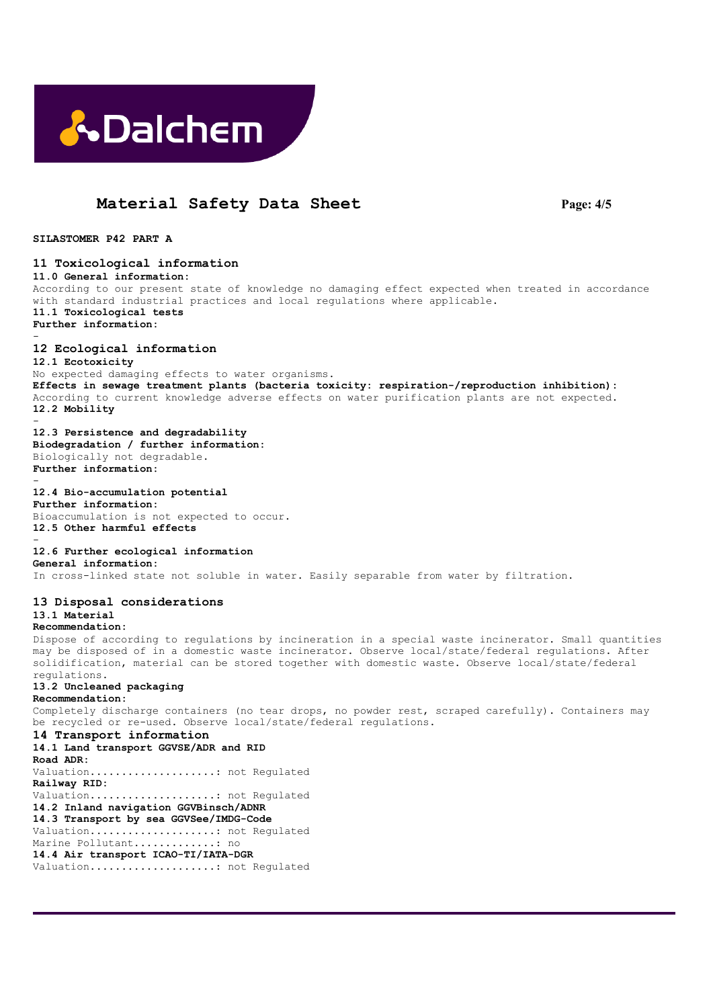

## **Material Safety Data Sheet Page: 4/5**

**SILASTOMER P42 PART A** 

**11 Toxicological information 11.0 General information:**  According to our present state of knowledge no damaging effect expected when treated in accordance with standard industrial practices and local regulations where applicable. **11.1 Toxicological tests Further information:**  - **12 Ecological information 12.1 Ecotoxicity**  No expected damaging effects to water organisms. **Effects in sewage treatment plants (bacteria toxicity: respiration-/reproduction inhibition):**  According to current knowledge adverse effects on water purification plants are not expected. **12.2 Mobility**  - **12.3 Persistence and degradability Biodegradation / further information:**  Biologically not degradable. **Further information:**  - **12.4 Bio-accumulation potential Further information:**  Bioaccumulation is not expected to occur. **12.5 Other harmful effects**  - **12.6 Further ecological information General information:**  In cross-linked state not soluble in water. Easily separable from water by filtration. **13 Disposal considerations 13.1 Material Recommendation:**  Dispose of according to regulations by incineration in a special waste incinerator. Small quantities may be disposed of in a domestic waste incinerator. Observe local/state/federal regulations. After solidification, material can be stored together with domestic waste. Observe local/state/federal regulations. **13.2 Uncleaned packaging Recommendation:**  Completely discharge containers (no tear drops, no powder rest, scraped carefully). Containers may be recycled or re-used. Observe local/state/federal regulations. **14 Transport information 14.1 Land transport GGVSE/ADR and RID Road ADR:**  Valuation....................: not Regulated **Railway RID:**  Valuation....................: not Regulated **14.2 Inland navigation GGVBinsch/ADNR 14.3 Transport by sea GGVSee/IMDG-Code**  Valuation....................: not Regulated Marine Pollutant.............. no **14.4 Air transport ICAO-TI/IATA-DGR**  Valuation....................: not Regulated